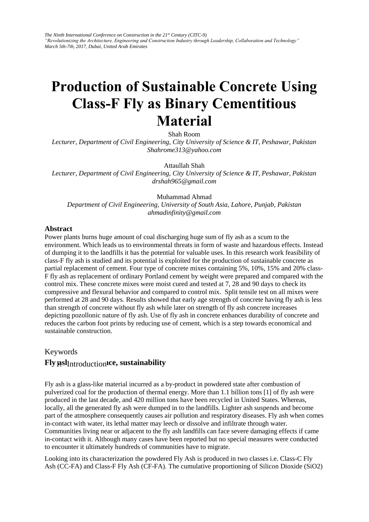*The Ninth International Conference on Construction in the 21st Century (CITC-9) "Revolutionizing the Architecture, Engineering and Construction Industry through Leadership, Collaboration and Technology" March 5th-7th, 2017, Dubai, United Arab Emirates* 

# **Production of Sustainable Concrete Using Class-F Fly as Binary Cementitious Material**

Shah Room

*Lecturer, Department of Civil Engineering, City University of Science & IT, Peshawar, Pakistan Shahrome313@yahoo.com* 

Attaullah Shah

*Lecturer, Department of Civil Engineering, City University of Science & IT, Peshawar, Pakistan drshah965@gmail.com* 

[Muhammad Ahmad](mailto:mohsin.uet82@yahoo.com)  *Department of Civil Engineering, University of South Asia, Lahore, Punjab, Pakistan ahmadinfinity@gmail.com* 

#### **Abstract**

Power plants burns huge amount of coal discharging huge sum of fly ash as a scum to the environment. Which leads us to environmental threats in form of waste and hazardous effects. Instead of dumping it to the landfills it has the potential for valuable uses. In this research work feasibility of class-F fly ash is studied and its potential is exploited for the production of sustainable concrete as partial replacement of cement. Four type of concrete mixes containing 5%, 10%, 15% and 20% class-F fly ash as replacement of ordinary Portland cement by weight were prepared and compared with the control mix. These concrete mixes were moist cured and tested at 7, 28 and 90 days to check its compressive and flexural behavior and compared to control mix. Split tensile test on all mixes were performed at 28 and 90 days. Results showed that early age strength of concrete having fly ash is less than strength of concrete without fly ash while later on strength of fly ash concrete increases depicting pozollonic nature of fly ash. Use of fly ash in concrete enhances durability of concrete and reduces the carbon foot prints by reducing use of cement, which is a step towards economical and sustainable construction.

# Keywords **Fly asl** Introduction **ICE, sustainability**

Fly ash is a glass-like material incurred as a by-product in powdered state after combustion of pulverized coal for the production of thermal energy. More than 1.1 billion tons [1] of fly ash were produced in the last decade, and 420 million tons have been recycled in United States. Whereas, locally, all the generated fly ash were dumped in to the landfills. Lighter ash suspends and become part of the atmosphere consequently causes air pollution and respiratory diseases. Fly ash when comes in-contact with water, its lethal matter may leech or dissolve and infiltrate through water. Communities living near or adjacent to the fly ash landfills can face severe damaging effects if came in-contact with it. Although many cases have been reported but no special measures were conducted to encounter it ultimately hundreds of communities have to migrate.

Looking into its characterization the powdered Fly Ash is produced in two classes i.e. Class-C Fly Ash (CC-FA) and Class-F Fly Ash (CF-FA). The cumulative proportioning of Silicon Dioxide (SiO2)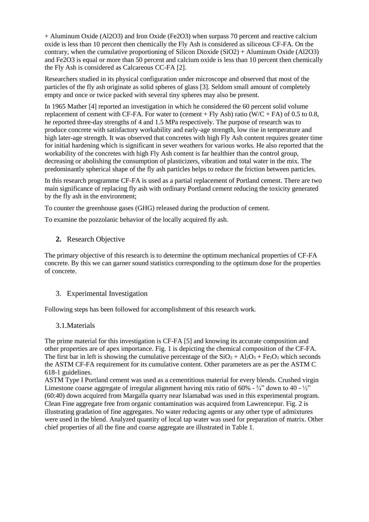+ Aluminum Oxide (Al2O3) and Iron Oxide (Fe2O3) when surpass 70 percent and reactive calcium oxide is less than 10 percent then chemically the Fly Ash is considered as siliceous CF-FA. On the contrary, when the cumulative proportioning of Silicon Dioxide (SiO2) + Aluminum Oxide (Al2O3) and Fe2O3 is equal or more than 50 percent and calcium oxide is less than 10 percent then chemically the Fly Ash is considered as Calcareous CC-FA [2].

Researchers studied in its physical configuration under microscope and observed that most of the particles of the fly ash originate as solid spheres of glass [3]. Seldom small amount of completely empty and once or twice packed with several tiny spheres may also be present.

In 1965 Mather [4] reported an investigation in which he considered the 60 percent solid volume replacement of cement with CF-FA. For water to (cement + Fly Ash) ratio (W/C + FA) of 0.5 to 0.8, he reported three-day strengths of 4 and 1.5 MPa respectively. The purpose of research was to produce concrete with satisfactory workability and early-age strength, low rise in temperature and high later-age strength. It was observed that concretes with high Fly Ash content requires greater time for initial hardening which is significant in sever weathers for various works. He also reported that the workability of the concretes with high Fly Ash content is far healthier than the control group, decreasing or abolishing the consumption of plasticizers, vibration and total water in the mix. The predominantly spherical shape of the fly ash particles helps to reduce the friction between particles.

In this research programme CF-FA is used as a partial replacement of Portland cement. There are two main significance of replacing fly ash with ordinary Portland cement reducing the toxicity generated by the fly ash in the environment;

To counter the greenhouse gases (GHG) released during the production of cement.

To examine the pozzolanic behavior of the locally acquired fly ash.

**2.** Research Objective

The primary objective of this research is to determine the optimum mechanical properties of CF-FA concrete. By this we can garner sound statistics corresponding to the optimum dose for the properties of concrete.

# 3. Experimental Investigation

Following steps has been followed for accomplishment of this research work.

3.1.Materials

The prime material for this investigation is CF-FA [5] and knowing its accurate composition and other properties are of apex importance. Fig. 1 is depicting the chemical composition of the CF-FA. The first bar in left is showing the cumulative percentage of the  $SiO_2 + Al_2O_3 + Fe_2O_3$  which seconds the ASTM CF-FA requirement for its cumulative content. Other parameters are as per the ASTM C 618-1 guidelines.

ASTM Type I Portland cement was used as a cementitious material for every blends. Crushed virgin Limestone coarse aggregate of irregular alignment having mix ratio of  $60\%$  -  $\frac{3}{4}$  down to  $40$  -  $\frac{1}{2}$ " (60:40) down acquired from Margalla quarry near Islamabad was used in this experimental program. Clean Fine aggregate free from organic contamination was acquired from Lawrencepur. Fig. 2 is illustrating gradation of fine aggregates. No water reducing agents or any other type of admixtures were used in the blend. Analyzed quantity of local tap water was used for preparation of matrix. Other chief properties of all the fine and coarse aggregate are illustrated in Table 1.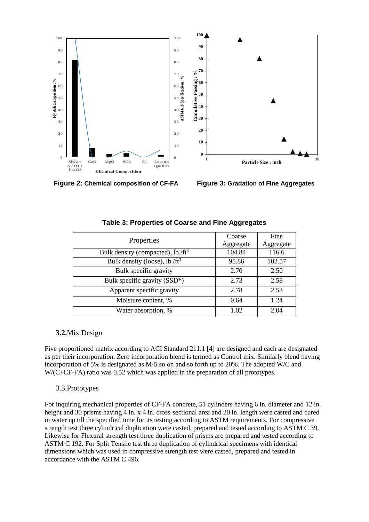

**Figure 2: Chemical composition of CF-FA Figure 3: Gradation of Fine Aggregates**

| Properties                                   | Coarse    | Fine      |
|----------------------------------------------|-----------|-----------|
|                                              | Aggregate | Aggregate |
| Bulk density (compacted), $lb./ft^3$         | 104.84    | 116.6     |
| Bulk density (loose), $lb$ ./ft <sup>3</sup> | 95.86     | 102.57    |
| Bulk specific gravity                        | 2.70      | 2.50      |
| Bulk specific gravity (SSD*)                 | 2.73      | 2.58      |
| Apparent specific gravity                    | 2.78      | 2.53      |
| Moisture content, %                          | 0.64      | 1.24      |
| Water absorption, %                          | 1.02      | 2.04      |

## **Table 3: Properties of Coarse and Fine Aggregates**

# **3.2.**Mix Design

Five proportioned matrix according to ACI Standard 211.1 [4] are designed and each are designated as per their incorporation. Zero incorporation blend is termed as Control mix. Similarly blend having incorporation of 5% is designated as M-5 so on and so forth up to 20%. The adopted W/C and W/(C+CF-FA) ratio was 0.52 which was applied in the preparation of all prototypes.

# 3.3.Prototypes

For inquiring mechanical properties of CF-FA concrete, 51 cylinders having 6 in. diameter and 12 in. height and 30 prisms having 4 in. x 4 in. cross-sectional area and 20 in. length were casted and cured in water up till the specified time for its testing according to ASTM requirements. For compressive strength test three cylindrical duplication were casted, prepared and tested according to ASTM C 39. Likewise for Flexural strength test three duplication of prisms are prepared and tested according to ASTM C 192. For Split Tensile test three duplication of cylindrical specimens with identical dimensions which was used in compressive strength test were casted, prepared and tested in accordance with the ASTM C 496.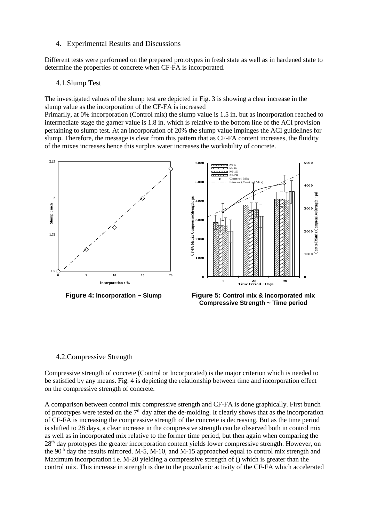#### 4. Experimental Results and Discussions

Different tests were performed on the prepared prototypes in fresh state as well as in hardened state to determine the properties of concrete when CF-FA is incorporated.

#### 4.1.Slump Test

The investigated values of the slump test are depicted in Fig. 3 is showing a clear increase in the slump value as the incorporation of the CF-FA is increased

Primarily, at 0% incorporation (Control mix) the slump value is 1.5 in. but as incorporation reached to intermediate stage the garner value is 1.8 in. which is relative to the bottom line of the ACI provision pertaining to slump test. At an incorporation of 20% the slump value impinges the ACI guidelines for slump. Therefore, the message is clear from this pattern that as CF-FA content increases, the fluidity of the mixes increases hence this surplus water increases the workability of concrete.





#### 4.2.Compressive Strength

Compressive strength of concrete (Control or Incorporated) is the major criterion which is needed to be satisfied by any means. Fig. 4 is depicting the relationship between time and incorporation effect on the compressive strength of concrete.

A comparison between control mix compressive strength and CF-FA is done graphically. First bunch of prototypes were tested on the  $7<sup>th</sup>$  day after the de-molding. It clearly shows that as the incorporation of CF-FA is increasing the compressive strength of the concrete is decreasing. But as the time period is shifted to 28 days, a clear increase in the compressive strength can be observed both in control mix as well as in incorporated mix relative to the former time period, but then again when comparing the 28th day prototypes the greater incorporation content yields lower compressive strength. However, on the  $90<sup>th</sup>$  day the results mirrored. M-5, M-10, and M-15 approached equal to control mix strength and Maximum incorporation i.e. M-20 yielding a compressive strength of () which is greater than the control mix. This increase in strength is due to the pozzolanic activity of the CF-FA which accelerated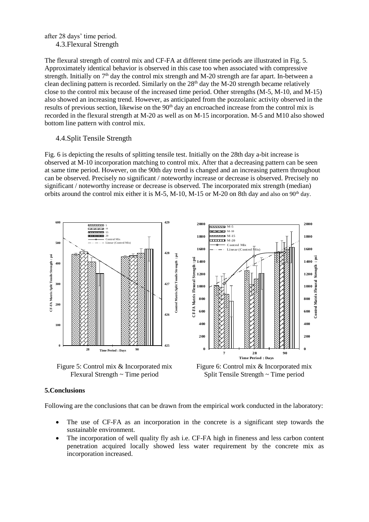#### after 28 days' time period. 4.3.Flexural Strength

The flexural strength of control mix and CF-FA at different time periods are illustrated in Fig. 5. Approximately identical behavior is observed in this case too when associated with compressive strength. Initially on 7<sup>th</sup> day the control mix strength and M-20 strength are far apart. In-between a clean declining pattern is recorded. Similarly on the  $28<sup>th</sup>$  day the M-20 strength became relatively close to the control mix because of the increased time period. Other strengths (M-5, M-10, and M-15) also showed an increasing trend. However, as anticipated from the pozzolanic activity observed in the results of previous section, likewise on the 90<sup>th</sup> day an encroached increase from the control mix is recorded in the flexural strength at M-20 as well as on M-15 incorporation. M-5 and M10 also showed bottom line pattern with control mix.

## 4.4.Split Tensile Strength

Fig. 6 is depicting the results of splitting tensile test. Initially on the 28th day a-bit increase is observed at M-10 incorporation matching to control mix. After that a decreasing pattern can be seen at same time period. However, on the 90th day trend is changed and an increasing pattern throughout can be observed. Precisely no significant / noteworthy increase or decrease is observed. Precisely no significant / noteworthy increase or decrease is observed. The incorporated mix strength (median) orbits around the control mix either it is M-5, M-10, M-15 or M-20 on 8th day and also on  $90<sup>th</sup>$  day.



#### **5.Conclusions**

Following are the conclusions that can be drawn from the empirical work conducted in the laboratory:

- The use of CF-FA as an incorporation in the concrete is a significant step towards the sustainable environment.
- The incorporation of well quality fly ash i.e. CF-FA high in fineness and less carbon content penetration acquired locally showed less water requirement by the concrete mix as incorporation increased.